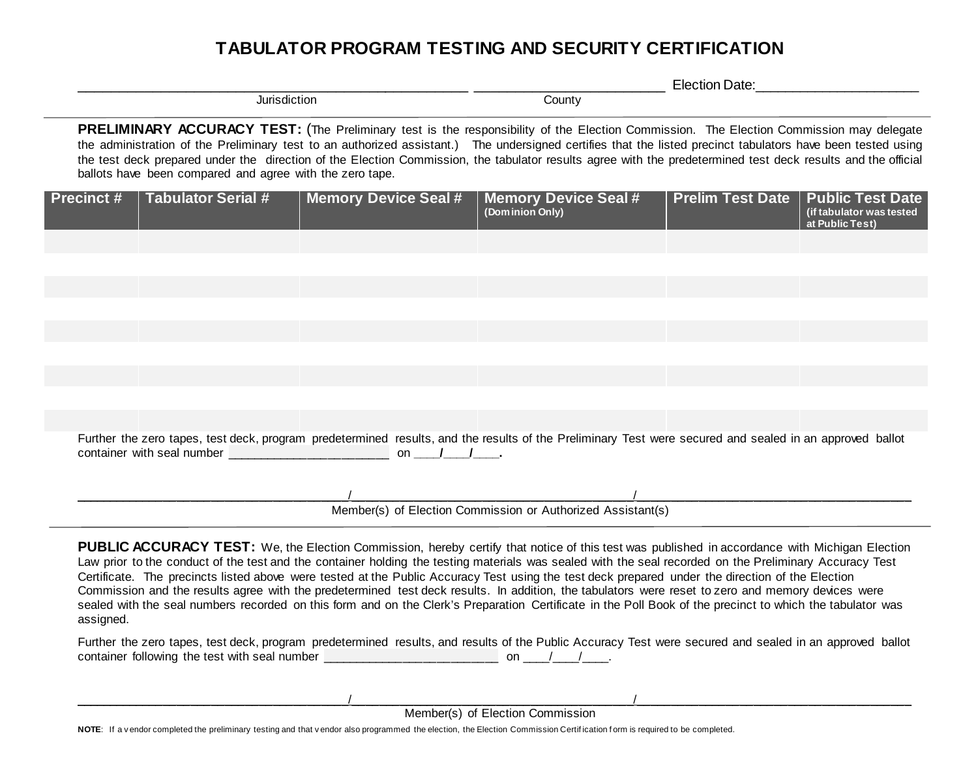## **TABULATOR PROGRAM TESTING AND SECURITY CERTIFICATION**

|                                                                                                                                                                                                                                                                                                                                                                                                                                                                                                                                     | Election Date: |  |  |
|-------------------------------------------------------------------------------------------------------------------------------------------------------------------------------------------------------------------------------------------------------------------------------------------------------------------------------------------------------------------------------------------------------------------------------------------------------------------------------------------------------------------------------------|----------------|--|--|
| Jurisdiction                                                                                                                                                                                                                                                                                                                                                                                                                                                                                                                        | County         |  |  |
| PRELIMINARY ACCURACY TEST: (The Preliminary test is the responsibility of the Election Commission. The Election Commission may delegate<br>the administration of the Preliminary test to an authorized assistant.) The undersigned certifies that the listed precinct tabulators have been tested using<br>the test deck prepared under the direction of the Election Commission, the tabulator results agree with the predetermined test deck results and the official<br>ballots have been compared and agree with the zero tape. |                |  |  |

| Precinct #                                                  | <b>Tabulator Serial #</b>                                    | <b>Memory Device Seal #</b> |  | <b>Memory Device Seal #</b><br>(Dominion Only)                                                                                                          | <b>Prelim Test Date   Public Test Date</b> | (if tabulator was tested<br>at Public Test) |  |
|-------------------------------------------------------------|--------------------------------------------------------------|-----------------------------|--|---------------------------------------------------------------------------------------------------------------------------------------------------------|--------------------------------------------|---------------------------------------------|--|
|                                                             |                                                              |                             |  |                                                                                                                                                         |                                            |                                             |  |
|                                                             |                                                              |                             |  |                                                                                                                                                         |                                            |                                             |  |
|                                                             |                                                              |                             |  |                                                                                                                                                         |                                            |                                             |  |
|                                                             |                                                              |                             |  |                                                                                                                                                         |                                            |                                             |  |
|                                                             |                                                              |                             |  |                                                                                                                                                         |                                            |                                             |  |
|                                                             |                                                              |                             |  |                                                                                                                                                         |                                            |                                             |  |
|                                                             |                                                              |                             |  |                                                                                                                                                         |                                            |                                             |  |
|                                                             |                                                              |                             |  |                                                                                                                                                         |                                            |                                             |  |
|                                                             |                                                              |                             |  |                                                                                                                                                         |                                            |                                             |  |
|                                                             | container with seal number on the container with seal number |                             |  | Further the zero tapes, test deck, program predetermined results, and the results of the Preliminary Test were secured and sealed in an approved ballot |                                            |                                             |  |
|                                                             |                                                              |                             |  |                                                                                                                                                         |                                            |                                             |  |
| Member(s) of Election Commission or Authorized Assistant(s) |                                                              |                             |  |                                                                                                                                                         |                                            |                                             |  |

**PUBLIC ACCURACY TEST:** We, the Election Commission, hereby certify that notice of this test was published in accordance with Michigan Election Law prior to the conduct of the test and the container holding the testing materials was sealed with the seal recorded on the Preliminary Accuracy Test Certificate. The precincts listed above were tested at the Public Accuracy Test using the test deck prepared under the direction of the Election Commission and the results agree with the predetermined test deck results. In addition, the tabulators were reset to zero and memory devices were sealed with the seal numbers recorded on this form and on the Clerk's Preparation Certificate in the Poll Book of the precinct to which the tabulator was assigned.

Further the zero tapes, test deck, program predetermined results, and results of the Public Accuracy Test were secured and sealed in an approved ballot container following the test with seal number  $\sqrt{a}$  and  $\sqrt{a}$  on  $\sqrt{a}$  / $\sqrt{a}$ .

 $\sqrt{2\pi\epsilon_0}$ Member(s) of Election Commission